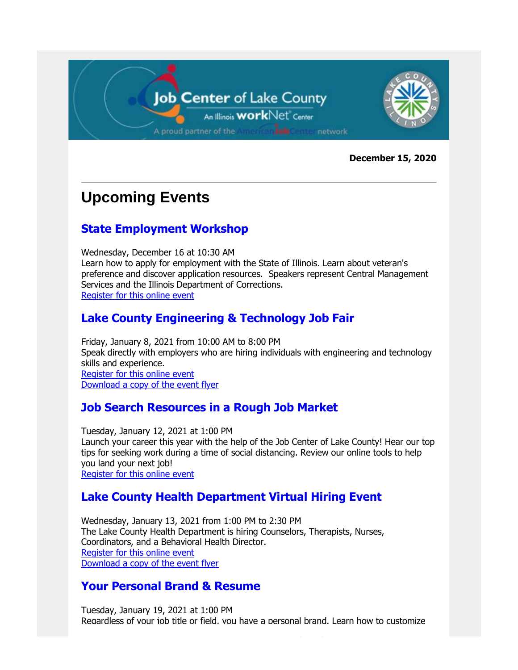

**December 15, 2020**

### **Upcoming Events**

#### **State Employment Workshop**

Wednesday, December 16 at 10:30 AM Learn how to apply for employment with the State of Illinois. Learn about veteran's preference and discover application resources. Speakers represent Central Management Services and the Illinois Department of Corrections. [Register for this online event](https://gcc02.safelinks.protection.outlook.com/?url=https%3A%2F%2Flnks.gd%2Fl%2FeyJhbGciOiJIUzI1NiJ9.eyJidWxsZXRpbl9saW5rX2lkIjoxMDIsInVyaSI6ImJwMjpjbGljayIsImJ1bGxldGluX2lkIjoiMjAyMDEyMTUuMzIwNzQ3ODEiLCJ1cmwiOiJodHRwczovL2lsbGlub2lzLndlYmV4LmNvbS9tdzMzMDAvbXl3ZWJleC9kZWZhdWx0LmRvP25vbWVudT10cnVlJnNpdGV1cmw9aWxsaW5vaXMmc2VydmljZT02JnJuZD0wLjQ0MTU1MjIzMjI2MDE2NjYmbWFpbl91cmw9aHR0cHM6Ly9pbGxpbm9pcy53ZWJleC5jb20vZWMzMzAwL2V2ZW50Y2VudGVyL2V2ZW50L2V2ZW50QWN0aW9uLmRvJTNGdGhlQWN0aW9uJTNEZGV0YWlsJTI2JTI2JTI2RU1LJTNENDgzMjUzNGIwMDAwMDAwNDdhMTVlOWVlNjYzMmY4YTlmMWM0MGNhZTI1OThiYWM5NDA1MDI1ZTEwYTZiODAzYzJmMWUzNzhkZjE0ZDFhZGUlMjZzaXRldXJsJTNEaWxsaW5vaXMlMjZjb25mVmlld0lEJTNEMTc4ODM1OTMzNzI0OTc1ODM5JTI2ZW5jcnlwdFRpY2tldCUzRFNESlRTd0FBQUFSZmR4U3FuWnhMUFFPRE1Zdk5OWU1hQVFXS1F4UGIyVmxudTlENE04b25xQTIlMjYifQ.rZYm6db5CKrV5WmurVokMdUbCxl_l0STGlRIs0s8oSk%2Fs%2F445485519%2Fbr%2F91925050646-l&data=04%7C01%7Cdharris%40lakecountyil.gov%7C74526a3242524882d60a08d8a1343fdd%7Cdd536cf592fd42ffa754e98666cb7a96%7C0%7C0%7C637436593074100872%7CUnknown%7CTWFpbGZsb3d8eyJWIjoiMC4wLjAwMDAiLCJQIjoiV2luMzIiLCJBTiI6Ik1haWwiLCJXVCI6Mn0%3D%7C3000&sdata=HpMLndb2Z%2B6NFhvylptLA2UwlzQFb%2ByK03lgthLSGjc%3D&reserved=0)

#### **Lake County Engineering & Technology Job Fair**

Friday, January 8, 2021 from 10:00 AM to 8:00 PM Speak directly with employers who are hiring individuals with engineering and technology skills and experience. [Register for this online event](https://gcc02.safelinks.protection.outlook.com/?url=https%3A%2F%2Flnks.gd%2Fl%2FeyJhbGciOiJIUzI1NiJ9.eyJidWxsZXRpbl9saW5rX2lkIjoxMDMsInVyaSI6ImJwMjpjbGljayIsImJ1bGxldGluX2lkIjoiMjAyMDEyMTUuMzIwNzQ3ODEiLCJ1cmwiOiJodHRwczovL3d3dy5jYXJlZXJlY28uY29tL0ZhaXIvRXZlbnREZXRhaWxzP2ZhaXJJZD1hODBjZDBiNC1lMDFiLTRlOTQtOWY5OS1hYzg0MDE1ZDk0Y2QifQ.pKH33chG953wsn3VDdmUISlphSn0zGZmSVc5m1DiOGg%2Fs%2F445485519%2Fbr%2F91925050646-l&data=04%7C01%7Cdharris%40lakecountyil.gov%7C74526a3242524882d60a08d8a1343fdd%7Cdd536cf592fd42ffa754e98666cb7a96%7C0%7C0%7C637436593074100872%7CUnknown%7CTWFpbGZsb3d8eyJWIjoiMC4wLjAwMDAiLCJQIjoiV2luMzIiLCJBTiI6Ik1haWwiLCJXVCI6Mn0%3D%7C3000&sdata=usZalkcalrOeDyGI18eyI6QnDWIFYrtVoe4oObW%2BkO0%3D&reserved=0) [Download a copy of the event flyer](https://gcc02.safelinks.protection.outlook.com/?url=https%3A%2F%2Flnks.gd%2Fl%2FeyJhbGciOiJIUzI1NiJ9.eyJidWxsZXRpbl9saW5rX2lkIjoxMDQsInVyaSI6ImJwMjpjbGljayIsImJ1bGxldGluX2lkIjoiMjAyMDEyMTUuMzIwNzQ3ODEiLCJ1cmwiOiJodHRwczovL3d3dy5sYWtlY291bnR5aWwuZ292L0RvY3VtZW50Q2VudGVyL1ZpZXcvMzc2MzYvMjAyMS1FbmdpbmVlcmluZy1Kb2ItRmFpci1mbHllci1QREYifQ.HKDsVdg5xoW1UUrmnIaYTjpg4xGumrcPO51LtGxjICM%2Fs%2F445485519%2Fbr%2F91925050646-l&data=04%7C01%7Cdharris%40lakecountyil.gov%7C74526a3242524882d60a08d8a1343fdd%7Cdd536cf592fd42ffa754e98666cb7a96%7C0%7C0%7C637436593074110826%7CUnknown%7CTWFpbGZsb3d8eyJWIjoiMC4wLjAwMDAiLCJQIjoiV2luMzIiLCJBTiI6Ik1haWwiLCJXVCI6Mn0%3D%7C3000&sdata=BXA3CHr%2Bb5stCRtvvsF5OayUE4Rkt3fOKCYVfKL%2FPoA%3D&reserved=0)

#### **Job Search Resources in a Rough Job Market**

Tuesday, January 12, 2021 at 1:00 PM Launch your career this year with the help of the Job Center of Lake County! Hear our top tips for seeking work during a time of social distancing. Review our online tools to help you land your next job! [Register for this online event](https://gcc02.safelinks.protection.outlook.com/?url=https%3A%2F%2Flnks.gd%2Fl%2FeyJhbGciOiJIUzI1NiJ9.eyJidWxsZXRpbl9saW5rX2lkIjoxMDUsInVyaSI6ImJwMjpjbGljayIsImJ1bGxldGluX2lkIjoiMjAyMDEyMTUuMzIwNzQ3ODEiLCJ1cmwiOiJodHRwczovL3VzMDJ3ZWIuem9vbS51cy9tZWV0aW5nL3JlZ2lzdGVyL3RaVXZmLUNwckRzdEhkUUpkT0lfbExYdFVfdmJ3blFUUDlqdiJ9.2O01gVRpHbbLnHYYJsDmf1PcnQoJHwL6Oy9fHaFfW2A%2Fs%2F445485519%2Fbr%2F91925050646-l&data=04%7C01%7Cdharris%40lakecountyil.gov%7C74526a3242524882d60a08d8a1343fdd%7Cdd536cf592fd42ffa754e98666cb7a96%7C0%7C0%7C637436593074110826%7CUnknown%7CTWFpbGZsb3d8eyJWIjoiMC4wLjAwMDAiLCJQIjoiV2luMzIiLCJBTiI6Ik1haWwiLCJXVCI6Mn0%3D%7C3000&sdata=h8fg9%2BZGYe8FF3H6Midcq6xBJDv395hsJEpeGb6Q3go%3D&reserved=0)

#### **Lake County Health Department Virtual Hiring Event**

Wednesday, January 13, 2021 from 1:00 PM to 2:30 PM The Lake County Health Department is hiring Counselors, Therapists, Nurses, Coordinators, and a Behavioral Health Director. [Register for this online event](https://gcc02.safelinks.protection.outlook.com/?url=https%3A%2F%2Flnks.gd%2Fl%2FeyJhbGciOiJIUzI1NiJ9.eyJidWxsZXRpbl9saW5rX2lkIjoxMDYsInVyaSI6ImJwMjpjbGljayIsImJ1bGxldGluX2lkIjoiMjAyMDEyMTUuMzIwNzQ3ODEiLCJ1cmwiOiJodHRwczovL2xha2Vjb3VudHljYXJlZXJzLmNvbS9sY2hkdmlydHVhbGhpcmluZ2V2ZW50LyJ9.SuWf7reDXlp9yuooLUxy8zGlOIiGiaFMc9gsYm574EU%2Fs%2F445485519%2Fbr%2F91925050646-l&data=04%7C01%7Cdharris%40lakecountyil.gov%7C74526a3242524882d60a08d8a1343fdd%7Cdd536cf592fd42ffa754e98666cb7a96%7C0%7C0%7C637436593074120784%7CUnknown%7CTWFpbGZsb3d8eyJWIjoiMC4wLjAwMDAiLCJQIjoiV2luMzIiLCJBTiI6Ik1haWwiLCJXVCI6Mn0%3D%7C3000&sdata=VVcocexLiTqJWI%2Fi3ccsWtO3mNiQIZG4h6MWJt7qrJA%3D&reserved=0) [Download a copy of the event flyer](https://gcc02.safelinks.protection.outlook.com/?url=https%3A%2F%2Flnks.gd%2Fl%2FeyJhbGciOiJIUzI1NiJ9.eyJidWxsZXRpbl9saW5rX2lkIjoxMDcsInVyaSI6ImJwMjpjbGljayIsImJ1bGxldGluX2lkIjoiMjAyMDEyMTUuMzIwNzQ3ODEiLCJ1cmwiOiJodHRwczovL3d3dy5sYWtlY291bnR5aWwuZ292L0RvY3VtZW50Q2VudGVyL1ZpZXcvMzc2MzgvTENIRC1WaXJ0dWFsLUhpcmluZy1FdmVudC0wMS0xMy0yMS1mbHllci1QREY_YmlkSWQ9In0.S_AOhgYp6kZS4WQfyB81RacqxDeeMla8lXwsy3qUAr0%2Fs%2F445485519%2Fbr%2F91925050646-l&data=04%7C01%7Cdharris%40lakecountyil.gov%7C74526a3242524882d60a08d8a1343fdd%7Cdd536cf592fd42ffa754e98666cb7a96%7C0%7C0%7C637436593074120784%7CUnknown%7CTWFpbGZsb3d8eyJWIjoiMC4wLjAwMDAiLCJQIjoiV2luMzIiLCJBTiI6Ik1haWwiLCJXVCI6Mn0%3D%7C3000&sdata=BuuEF0qGtsHO6tsCmbdpdeD4ITZzs3zWEd9C1UX4sQg%3D&reserved=0)

#### **Your Personal Brand & Resume**

Tuesday, January 19, 2021 at 1:00 PM Regardless of your job title or field, you have a personal brand. Learn how to customize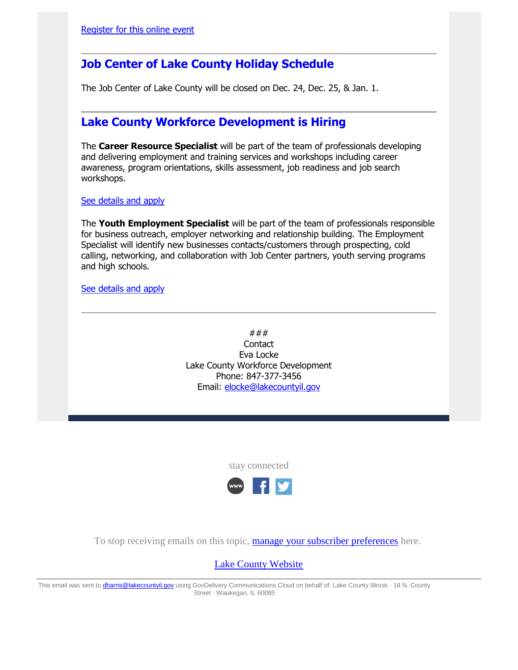#### **Job Center of Lake County Holiday Schedule**

The Job Center of Lake County will be closed on Dec. 24, Dec. 25, & Jan. 1.

#### **Lake County Workforce Development is Hiring**

The **Career Resource Specialist** will be part of the team of professionals developing and delivering employment and training services and workshops including career awareness, program orientations, skills assessment, job readiness and job search workshops.

[See details and apply](https://gcc02.safelinks.protection.outlook.com/?url=https%3A%2F%2Flnks.gd%2Fl%2FeyJhbGciOiJIUzI1NiJ9.eyJidWxsZXRpbl9saW5rX2lkIjoxMDksInVyaSI6ImJwMjpjbGljayIsImJ1bGxldGluX2lkIjoiMjAyMDEyMTUuMzIwNzQ3ODEiLCJ1cmwiOiJodHRwczovL2xha2Vjb3VudHlpbC5zaWxrcm9hZC5jb20vZXBvc3RpbmdzL2luZGV4LmNmbT9mdXNlYWN0aW9uPWFwcC5qb2JpbmZvJmpvYmlkPTIxNzcyNiZjb21wYW55X2lkPTE1OTI0JnZlcnNpb249MSZzb3VyY2U9T05MSU5FJmpvYk93bmVyPTk3NzIxOCZhaWQ9MSJ9._rY-I_YjYcRbyaQ2p42TJZrzTyBqaNSdCv2lrqFKa3Y%2Fs%2F445485519%2Fbr%2F91925050646-l&data=04%7C01%7Cdharris%40lakecountyil.gov%7C74526a3242524882d60a08d8a1343fdd%7Cdd536cf592fd42ffa754e98666cb7a96%7C0%7C0%7C637436593074130741%7CUnknown%7CTWFpbGZsb3d8eyJWIjoiMC4wLjAwMDAiLCJQIjoiV2luMzIiLCJBTiI6Ik1haWwiLCJXVCI6Mn0%3D%7C3000&sdata=w4bFu3RT1x3GtkP6NxSaNTDgc7XtpY2jg9GEjifreqQ%3D&reserved=0)

The **Youth Employment Specialist** will be part of the team of professionals responsible for business outreach, employer networking and relationship building. The Employment Specialist will identify new businesses contacts/customers through prospecting, cold calling, networking, and collaboration with Job Center partners, youth serving programs and high schools.

[See details and apply](https://gcc02.safelinks.protection.outlook.com/?url=https%3A%2F%2Flnks.gd%2Fl%2FeyJhbGciOiJIUzI1NiJ9.eyJidWxsZXRpbl9saW5rX2lkIjoxMTAsInVyaSI6ImJwMjpjbGljayIsImJ1bGxldGluX2lkIjoiMjAyMDEyMTUuMzIwNzQ3ODEiLCJ1cmwiOiJodHRwczovL2xha2Vjb3VudHlpbC5zaWxrcm9hZC5jb20vZXBvc3RpbmdzL2luZGV4LmNmbT9mdXNlYWN0aW9uPWFwcC5qb2JpbmZvJmpvYmlkPTIxNzcyNSZjb21wYW55X2lkPTE1OTI0JnZlcnNpb249MSZzb3VyY2U9T05MSU5FJmpvYk93bmVyPTk3NzIxOCZhaWQ9MSJ9.YuzeF49Ws4O1L0oyemZxi6dJeAKJgc54okHXvw3gV0U%2Fs%2F445485519%2Fbr%2F91925050646-l&data=04%7C01%7Cdharris%40lakecountyil.gov%7C74526a3242524882d60a08d8a1343fdd%7Cdd536cf592fd42ffa754e98666cb7a96%7C0%7C0%7C637436593074140701%7CUnknown%7CTWFpbGZsb3d8eyJWIjoiMC4wLjAwMDAiLCJQIjoiV2luMzIiLCJBTiI6Ik1haWwiLCJXVCI6Mn0%3D%7C3000&sdata=dGLm8pfGHrEy0MDHDmt2n5wYelc%2FP4lKsNf3EFPhP7Q%3D&reserved=0)

### **Contact** Eva Locke Lake County Workforce Development Phone: 847-377-3456 Email: [elocke@lakecountyil.gov](mailto:elocke@lakecountyil.gov)

stay connected



To stop receiving emails on this topic, **[manage your subscriber preferences](https://gcc02.safelinks.protection.outlook.com/?url=https%3A%2F%2Flnks.gd%2Fl%2FeyJhbGciOiJIUzI1NiJ9.eyJidWxsZXRpbl9saW5rX2lkIjoxMTQsInVyaSI6ImJwMjpjbGljayIsImJ1bGxldGluX2lkIjoiMjAyMDEyMTUuMzIwNzQ3ODEiLCJ1cmwiOiJodHRwczovL3B1YmxpYy5nb3ZkZWxpdmVyeS5jb20vYWNjb3VudHMvSUxMQUtFL3N1YnNjcmliZXIvZWRpdD9wcmVmZXJlbmNlcz10cnVlI3RhYjEifQ.-_xDOaHaNuilizcwlHOgC9JyWlUqCsT4kKzOoEkmmII%2Fs%2F445485519%2Fbr%2F91925050646-l&data=04%7C01%7Cdharris%40lakecountyil.gov%7C74526a3242524882d60a08d8a1343fdd%7Cdd536cf592fd42ffa754e98666cb7a96%7C0%7C0%7C637436593074150654%7CUnknown%7CTWFpbGZsb3d8eyJWIjoiMC4wLjAwMDAiLCJQIjoiV2luMzIiLCJBTiI6Ik1haWwiLCJXVCI6Mn0%3D%7C3000&sdata=%2BaQ6rQwVQ50y75SHKe17zLF7zeHfJz3KeCXZOR41AKs%3D&reserved=0)** here.

[Lake County Website](https://gcc02.safelinks.protection.outlook.com/?url=https%3A%2F%2Flnks.gd%2Fl%2FeyJhbGciOiJIUzI1NiJ9.eyJidWxsZXRpbl9saW5rX2lkIjoxMTUsInVyaSI6ImJwMjpjbGljayIsImJ1bGxldGluX2lkIjoiMjAyMDEyMTUuMzIwNzQ3ODEiLCJ1cmwiOiJodHRwOi8vd3d3Lmxha2Vjb3VudHlpbC5nb3YvIn0.RVwNMELcsHT93VrCHPlH2WMafev6IwF6w_o-qw7LNno%2Fs%2F445485519%2Fbr%2F91925050646-l&data=04%7C01%7Cdharris%40lakecountyil.gov%7C74526a3242524882d60a08d8a1343fdd%7Cdd536cf592fd42ffa754e98666cb7a96%7C0%7C0%7C637436593074160606%7CUnknown%7CTWFpbGZsb3d8eyJWIjoiMC4wLjAwMDAiLCJQIjoiV2luMzIiLCJBTiI6Ik1haWwiLCJXVCI6Mn0%3D%7C3000&sdata=mI2Y7wO4T08anDnQp0GwRnxBm9BCPdzu54Y6a7Wan7c%3D&reserved=0)

This email was sent to *dharris@lakecountyil.gov* using GovDelivery Communications Cloud on behalf of: Lake County Illinois · 18 N. County Street · Waukegan, IL 60085